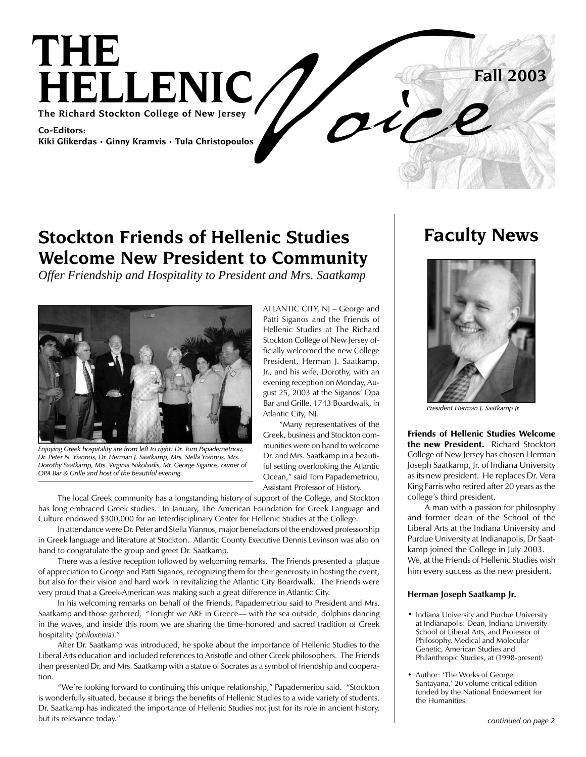

ATLANTIC CITY, NJ – George and Patti Siganos and the Friends of Hellenic Studies at The Richard Stockton College of New Jersey officially welcomed the new College President, Herman J. Saatkamp, Jr., and his wife, Dorothy, with an evening reception on Monday, August 25, 2003 at the Siganos' Opa Bar and Grille, 1743 Boardwalk, in

 "Many representatives of the Greek, business and Stockton communities were on hand to welcome Dr. and Mrs. Saatkamp in a beautiful setting overlooking the Atlantic Ocean," said Tom Papademetriou, Assistant Professor of History.

Atlantic City, NJ.

### **Stockton Friends of Hellenic Studies Welcome New President to Community**

*Offer Friendship and Hospitality to President and Mrs. Saatkamp*



*Enjoying Greek hospitality are from left to right: Dr. Tom Papademetriou, Dr. Peter N. Yiannos, Dr. Herman J. Saatkamp, Mrs. Stella Yiannos, Mrs. Dorothy Saatkamp, Mrs. Virginia Nikolaidis, Mr. George Siganos, owner of OPA Bar & Grille and host of the beautiful evening.*

 The local Greek community has a longstanding history of support of the College, and Stockton has long embraced Greek studies. In January, The American Foundation for Greek Language and Culture endowed \$300,000 for an Interdisciplinary Center for Hellenic Studies at the College.

 In attendance were Dr. Peter and Stella Yiannos, major benefactors of the endowed professorship in Greek language and literature at Stockton. Atlantic County Executive Dennis Levinson was also on hand to congratulate the group and greet Dr. Saatkamp.

 There was a festive reception followed by welcoming remarks. The Friends presented a plaque of appreciation to George and Patti Siganos, recognizing them for their generosity in hosting the event, but also for their vision and hard work in revitalizing the Atlantic City Boardwalk. The Friends were very proud that a Greek-American was making such a great difference in Atlantic City.

 In his welcoming remarks on behalf of the Friends, Papademetriou said to President and Mrs. Saatkamp and those gathered, "Tonight we ARE in Greece— with the sea outside, dolphins dancing in the waves, and inside this room we are sharing the time-honored and sacred tradition of Greek hospitality (*philoxenia*)."

 After Dr. Saatkamp was introduced, he spoke about the importance of Hellenic Studies to the Liberal Arts education and included references to Aristotle and other Greek philosophers. The Friends then presented Dr. and Mrs. Saatkamp with a statue of Socrates as a symbol of friendship and cooperation.

 "We're looking forward to continuing this unique relationship," Papademeriou said. "Stockton is wonderfully situated, because it brings the benefits of Hellenic Studies to a wide variety of students. Dr. Saatkamp has indicated the importance of Hellenic Studies not just for its role in ancient history, but its relevance today."

### **Faculty News**



*President Herman J. Saatkamp Jr.*

Friends of Hellenic Studies Welcome the new President. Richard Stockton College of New Jersey has chosen Herman Joseph Saatkamp, Jr. of Indiana University as its new president. He replaces Dr. Vera King Farris who retired after 20 years as the college's third president.

 A man with a passion for philosophy and former dean of the School of the Liberal Arts at the Indiana University and Purdue University at Indianapolis, Dr Saatkamp joined the College in July 2003. We, at the Friends of Hellenic Studies wish him every success as the new president.

#### **Herman Joseph Saatkamp Jr.**

- Indiana University and Purdue University at Indianapolis: Dean, Indiana University School of Liberal Arts, and Professor of Philosophy, Medical and Molecular Genetic, American Studies and Philanthropic Studies, at (1998-present)
- Author: 'The Works of George Santayana,' 20 volume critical edition funded by the National Endowment for the Humanities.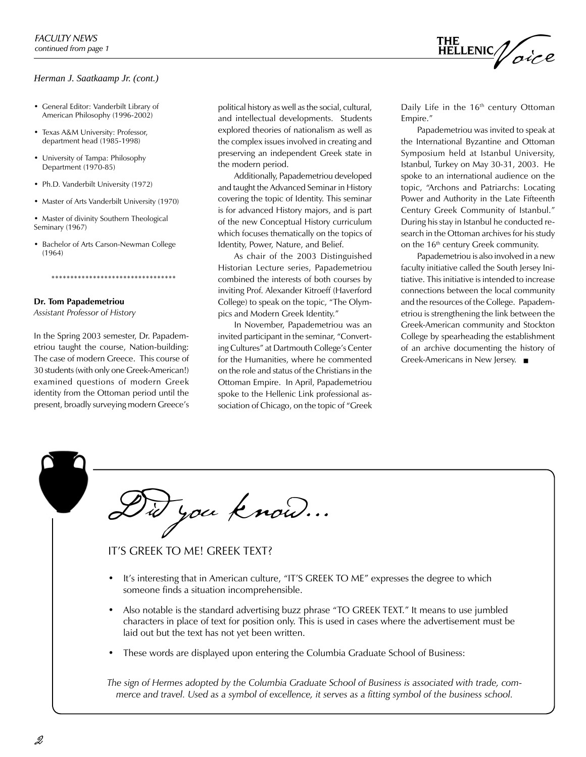#### *Herman J. Saatkaamp Jr. (cont.)*

- General Editor: Vanderbilt Library of American Philosophy (1996-2002)
- Texas A&M University: Professor, department head (1985-1998)
- University of Tampa: Philosophy Department (1970-85)
- Ph.D. Vanderbilt University (1972)
- Master of Arts Vanderbilt University (1970)
- Master of divinity Southern Theological Seminary (1967)
- Bachelor of Arts Carson-Newman College (1964)

\*\*\*\*\*\*\*\*\*\*\*\*\*\*\*\*\*\*\*\*\*\*\*\*\*\*\*\*\*\*\*\*\*

### **Dr. Tom Papademetriou**

*Assistant Professor of History* 

In the Spring 2003 semester, Dr. Papademetriou taught the course, Nation-building: The case of modern Greece. This course of 30 students (with only one Greek-American!) examined questions of modern Greek identity from the Ottoman period until the present, broadly surveying modern Greece's

political history as well as the social, cultural, and intellectual developments. Students explored theories of nationalism as well as the complex issues involved in creating and preserving an independent Greek state in the modern period.

 Additionally, Papademetriou developed and taught the Advanced Seminar in History covering the topic of Identity. This seminar is for advanced History majors, and is part of the new Conceptual History curriculum which focuses thematically on the topics of Identity, Power, Nature, and Belief.

 As chair of the 2003 Distinguished Historian Lecture series, Papademetriou combined the interests of both courses by inviting Prof. Alexander Kitroeff (Haverford College) to speak on the topic, "The Olympics and Modern Greek Identity."

 In November, Papademetriou was an invited participant in the seminar, "Converting Cultures" at Dartmouth College's Center for the Humanities, where he commented on the role and status of the Christians in the Ottoman Empire. In April, Papademetriou spoke to the Hellenic Link professional association of Chicago, on the topic of "Greek

Daily Life in the  $16<sup>th</sup>$  century Ottoman Empire."

THE<br>HELLENIC//

oice

 Papademetriou was invited to speak at the International Byzantine and Ottoman Symposium held at Istanbul University, Istanbul, Turkey on May 30-31, 2003. He spoke to an international audience on the topic, "Archons and Patriarchs: Locating Power and Authority in the Late Fifteenth Century Greek Community of Istanbul." During his stay in Istanbul he conducted research in the Ottoman archives for his study on the 16<sup>th</sup> century Greek community.

 Papademetriou is also involved in a new faculty initiative called the South Jersey Initiative. This initiative is intended to increase connections between the local community and the resources of the College. Papademetriou is strengthening the link between the Greek-American community and Stockton College by spearheading the establishment of an archive documenting the history of Greek-Americans in New Jersey.  $\blacksquare$ 

Did you know...

IT'S GREEK TO ME! GREEK TEXT?

- It's interesting that in American culture, "IT'S GREEK TO ME" expresses the degree to which someone finds a situation incomprehensible.
- Also notable is the standard advertising buzz phrase "TO GREEK TEXT." It means to use jumbled characters in place of text for position only. This is used in cases where the advertisement must be laid out but the text has not yet been written.
- These words are displayed upon entering the Columbia Graduate School of Business:

*The sign of Hermes adopted by the Columbia Graduate School of Business is associated with trade, commerce and travel. Used as a symbol of excellence, it serves as a fitting symbol of the business school.*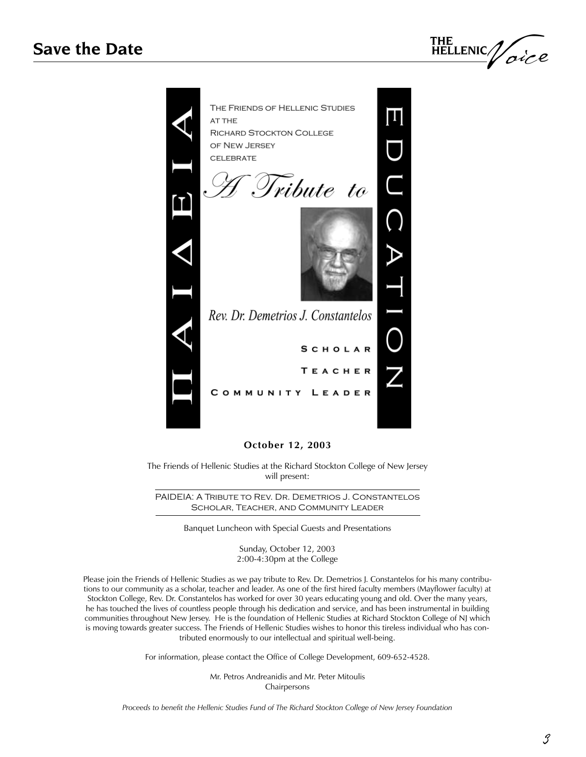



#### **October 12, 2003**

The Friends of Hellenic Studies at the Richard Stockton College of New Jersey will present:

PAIDEIA: A Tribute to Rev. Dr. Demetrios J. Constantelos Scholar, Teacher, and Community Leader

Banquet Luncheon with Special Guests and Presentations

Sunday, October 12, 2003 2:00-4:30pm at the College

Please join the Friends of Hellenic Studies as we pay tribute to Rev. Dr. Demetrios J. Constantelos for his many contributions to our community as a scholar, teacher and leader. As one of the first hired faculty members (Mayflower faculty) at Stockton College, Rev. Dr. Constantelos has worked for over 30 years educating young and old. Over the many years, he has touched the lives of countless people through his dedication and service, and has been instrumental in building communities throughout New Jersey. He is the foundation of Hellenic Studies at Richard Stockton College of NJ which is moving towards greater success. The Friends of Hellenic Studies wishes to honor this tireless individual who has contributed enormously to our intellectual and spiritual well-being.

For information, please contact the Office of College Development, 609-652-4528.

Mr. Petros Andreanidis and Mr. Peter Mitoulis Chairpersons

*Proceeds to benefit the Hellenic Studies Fund of The Richard Stockton College of New Jersey Foundation*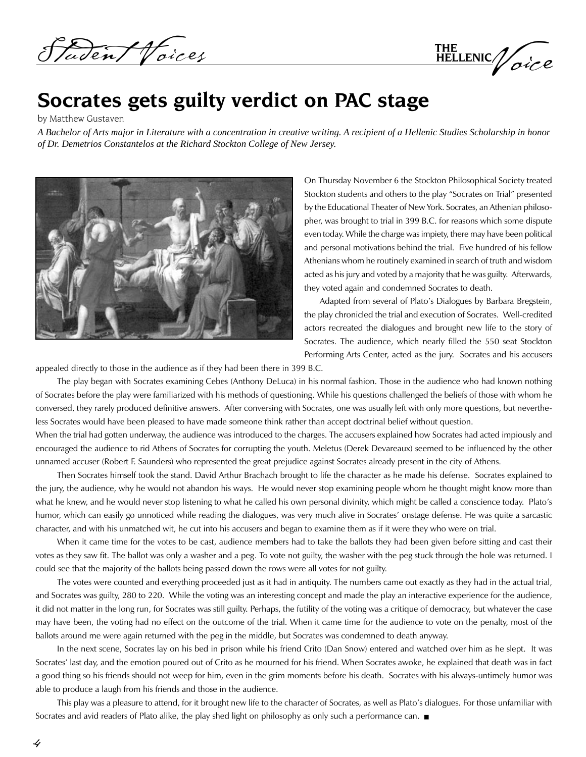adent Voices

THE HELLENIC / oice

## **Socrates gets guilty verdict on PAC stage**

by Matthew Gustaven

*A Bachelor of Arts major in Literature with a concentration in creative writing. A recipient of a Hellenic Studies Scholarship in honor of Dr. Demetrios Constantelos at the Richard Stockton College of New Jersey.*



On Thursday November 6 the Stockton Philosophical Society treated Stockton students and others to the play "Socrates on Trial" presented by the Educational Theater of New York. Socrates, an Athenian philosopher, was brought to trial in 399 B.C. for reasons which some dispute even today. While the charge was impiety, there may have been political and personal motivations behind the trial. Five hundred of his fellow Athenians whom he routinely examined in search of truth and wisdom acted as his jury and voted by a majority that he was guilty. Afterwards, they voted again and condemned Socrates to death.

 Adapted from several of Plato's Dialogues by Barbara Bregstein, the play chronicled the trial and execution of Socrates. Well-credited actors recreated the dialogues and brought new life to the story of Socrates. The audience, which nearly filled the 550 seat Stockton Performing Arts Center, acted as the jury. Socrates and his accusers

appealed directly to those in the audience as if they had been there in 399 B.C.

 The play began with Socrates examining Cebes (Anthony DeLuca) in his normal fashion. Those in the audience who had known nothing of Socrates before the play were familiarized with his methods of questioning. While his questions challenged the beliefs of those with whom he conversed, they rarely produced definitive answers. After conversing with Socrates, one was usually left with only more questions, but nevertheless Socrates would have been pleased to have made someone think rather than accept doctrinal belief without question.

When the trial had gotten underway, the audience was introduced to the charges. The accusers explained how Socrates had acted impiously and encouraged the audience to rid Athens of Socrates for corrupting the youth. Meletus (Derek Devareaux) seemed to be influenced by the other unnamed accuser (Robert F. Saunders) who represented the great prejudice against Socrates already present in the city of Athens.

 Then Socrates himself took the stand. David Arthur Brachach brought to life the character as he made his defense. Socrates explained to the jury, the audience, why he would not abandon his ways. He would never stop examining people whom he thought might know more than what he knew, and he would never stop listening to what he called his own personal divinity, which might be called a conscience today. Plato's humor, which can easily go unnoticed while reading the dialogues, was very much alive in Socrates' onstage defense. He was quite a sarcastic character, and with his unmatched wit, he cut into his accusers and began to examine them as if it were they who were on trial.

 When it came time for the votes to be cast, audience members had to take the ballots they had been given before sitting and cast their votes as they saw fit. The ballot was only a washer and a peg. To vote not guilty, the washer with the peg stuck through the hole was returned. I could see that the majority of the ballots being passed down the rows were all votes for not guilty.

 The votes were counted and everything proceeded just as it had in antiquity. The numbers came out exactly as they had in the actual trial, and Socrates was guilty, 280 to 220. While the voting was an interesting concept and made the play an interactive experience for the audience, it did not matter in the long run, for Socrates was still guilty. Perhaps, the futility of the voting was a critique of democracy, but whatever the case may have been, the voting had no effect on the outcome of the trial. When it came time for the audience to vote on the penalty, most of the ballots around me were again returned with the peg in the middle, but Socrates was condemned to death anyway.

 In the next scene, Socrates lay on his bed in prison while his friend Crito (Dan Snow) entered and watched over him as he slept. It was Socrates' last day, and the emotion poured out of Crito as he mourned for his friend. When Socrates awoke, he explained that death was in fact a good thing so his friends should not weep for him, even in the grim moments before his death. Socrates with his always-untimely humor was able to produce a laugh from his friends and those in the audience.

 This play was a pleasure to attend, for it brought new life to the character of Socrates, as well as Plato's dialogues. For those unfamiliar with Socrates and avid readers of Plato alike, the play shed light on philosophy as only such a performance can.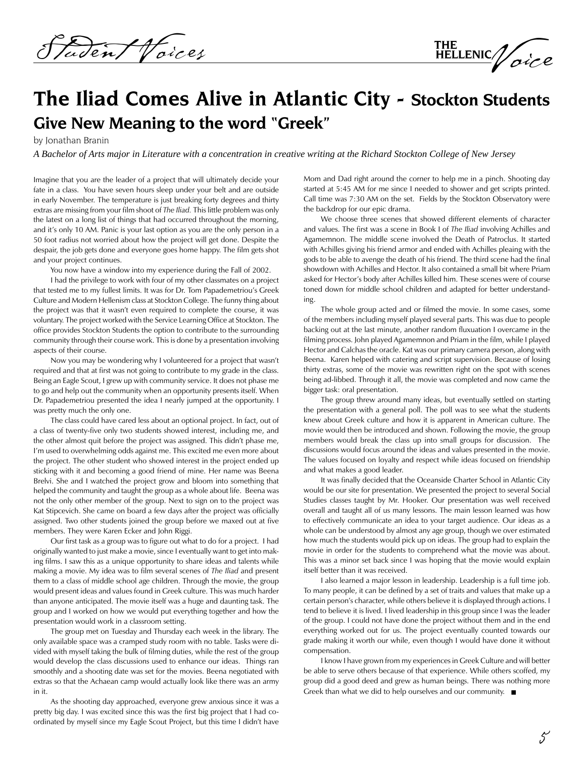Den/Voices

THE<br>HELLENIC/ oice

## **The Iliad Comes Alive in Atlantic City - Stockton Students Give New Meaning to the word "Greek"**

by Jonathan Branin

*A Bachelor of Arts major in Literature with a concentration in creative writing at the Richard Stockton College of New Jersey*

Imagine that you are the leader of a project that will ultimately decide your fate in a class. You have seven hours sleep under your belt and are outside in early November. The temperature is just breaking forty degrees and thirty extras are missing from your film shoot of *The Iliad.* This little problem was only the latest on a long list of things that had occurred throughout the morning, and it's only 10 AM. Panic is your last option as you are the only person in a 50 foot radius not worried about how the project will get done. Despite the despair, the job gets done and everyone goes home happy. The film gets shot and your project continues.

You now have a window into my experience during the Fall of 2002.

 I had the privilege to work with four of my other classmates on a project that tested me to my fullest limits. It was for Dr. Tom Papademetriou's Greek Culture and Modern Hellenism class at Stockton College. The funny thing about the project was that it wasn't even required to complete the course, it was voluntary. The project worked with the Service Learning Office at Stockton. The office provides Stockton Students the option to contribute to the surrounding community through their course work. This is done by a presentation involving aspects of their course.

 Now you may be wondering why I volunteered for a project that wasn't required and that at first was not going to contribute to my grade in the class. Being an Eagle Scout, I grew up with community service. It does not phase me to go and help out the community when an opportunity presents itself. When Dr. Papademetriou presented the idea I nearly jumped at the opportunity. I was pretty much the only one.

 The class could have cared less about an optional project. In fact, out of a class of twenty-five only two students showed interest, including me, and the other almost quit before the project was assigned. This didn't phase me, I'm used to overwhelming odds against me. This excited me even more about the project. The other student who showed interest in the project ended up sticking with it and becoming a good friend of mine. Her name was Beena Brelvi. She and I watched the project grow and bloom into something that helped the community and taught the group as a whole about life. Beena was not the only other member of the group. Next to sign on to the project was Kat Stipcevich. She came on board a few days after the project was officially assigned. Two other students joined the group before we maxed out at five members. They were Karen Ecker and John Riggi.

 Our first task as a group was to figure out what to do for a project. I had originally wanted to just make a movie, since I eventually want to get into making films. I saw this as a unique opportunity to share ideas and talents while making a movie. My idea was to film several scenes of *The Iliad* and present them to a class of middle school age children. Through the movie, the group would present ideas and values found in Greek culture. This was much harder than anyone anticipated. The movie itself was a huge and daunting task. The group and I worked on how we would put everything together and how the presentation would work in a classroom setting.

 The group met on Tuesday and Thursday each week in the library. The only available space was a cramped study room with no table. Tasks were divided with myself taking the bulk of filming duties, while the rest of the group would develop the class discussions used to enhance our ideas. Things ran smoothly and a shooting date was set for the movies. Beena negotiated with extras so that the Achaean camp would actually look like there was an army in it.

 As the shooting day approached, everyone grew anxious since it was a pretty big day. I was excited since this was the first big project that I had coordinated by myself since my Eagle Scout Project, but this time I didn't have

Mom and Dad right around the corner to help me in a pinch. Shooting day started at 5:45 AM for me since I needed to shower and get scripts printed. Call time was 7:30 AM on the set. Fields by the Stockton Observatory were the backdrop for our epic drama.

 We choose three scenes that showed different elements of character and values. The first was a scene in Book I of *The Iliad* involving Achilles and Agamemnon. The middle scene involved the Death of Patroclus. It started with Achilles giving his friend armor and ended with Achilles pleaing with the gods to be able to avenge the death of his friend. The third scene had the final showdown with Achilles and Hector. It also contained a small bit where Priam asked for Hector's body after Achilles killed him. These scenes were of course toned down for middle school children and adapted for better understanding.

 The whole group acted and or filmed the movie. In some cases, some of the members including myself played several parts. This was due to people backing out at the last minute, another random fluxuation I overcame in the filming process. John played Agamemnon and Priam in the film, while I played Hector and Calchas the oracle. Kat was our primary camera person, along with Beena. Karen helped with catering and script supervision. Because of losing thirty extras, some of the movie was rewritten right on the spot with scenes being ad-libbed. Through it all, the movie was completed and now came the bigger task: oral presentation.

 The group threw around many ideas, but eventually settled on starting the presentation with a general poll. The poll was to see what the students knew about Greek culture and how it is apparent in American culture. The movie would then be introduced and shown. Following the movie, the group members would break the class up into small groups for discussion. The discussions would focus around the ideas and values presented in the movie. The values focused on loyalty and respect while ideas focused on friendship and what makes a good leader.

 It was finally decided that the Oceanside Charter School in Atlantic City would be our site for presentation. We presented the project to several Social Studies classes taught by Mr. Hooker. Our presentation was well received overall and taught all of us many lessons. The main lesson learned was how to effectively communicate an idea to your target audience. Our ideas as a whole can be understood by almost any age group, though we over estimated how much the students would pick up on ideas. The group had to explain the movie in order for the students to comprehend what the movie was about. This was a minor set back since I was hoping that the movie would explain itself better than it was received.

 I also learned a major lesson in leadership. Leadership is a full time job. To many people, it can be defined by a set of traits and values that make up a certain person's character, while others believe it is displayed through actions. I tend to believe it is lived. I lived leadership in this group since I was the leader of the group. I could not have done the project without them and in the end everything worked out for us. The project eventually counted towards our grade making it worth our while, even though I would have done it without compensation.

 I know I have grown from my experiences in Greek Culture and will better be able to serve others because of that experience. While others scoffed, my group did a good deed and grew as human beings. There was nothing more Greek than what we did to help ourselves and our community.  $\blacksquare$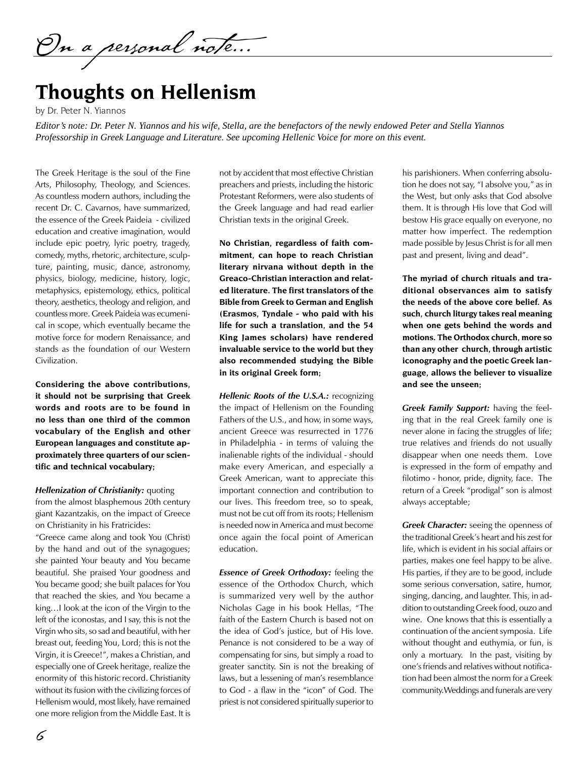On a personal note...

# **Thoughts on Hellenism**

by Dr. Peter N. Yiannos

*Editor's note: Dr. Peter N. Yiannos and his wife, Stella, are the benefactors of the newly endowed Peter and Stella Yiannos Professorship in Greek Language and Literature. See upcoming Hellenic Voice for more on this event.*

The Greek Heritage is the soul of the Fine Arts, Philosophy, Theology, and Sciences. As countless modern authors, including the recent Dr. C. Cavarnos, have summarized, the essence of the Greek Paideia - civilized education and creative imagination, would include epic poetry, lyric poetry, tragedy, comedy, myths, rhetoric, architecture, sculpture, painting, music, dance, astronomy, physics, biology, medicine, history, logic, metaphysics, epistemology, ethics, political theory, aesthetics, theology and religion, and countless more. Greek Paideia was ecumenical in scope, which eventually became the motive force for modern Renaissance, and stands as the foundation of our Western Civilization.

**Considering the above contributions, it should not be surprising that Greek words and roots are to be found in no less than one third of the common vocabulary of the English and other European languages and constitute approximately three quarters of our scientific and technical vocabulary;** 

*Hellenization of Christianity:* quoting from the almost blasphemous 20th century giant Kazantzakis, on the impact of Greece on Christianity in his Fratricides:

"Greece came along and took You (Christ) by the hand and out of the synagogues; she painted Your beauty and You became beautiful. She praised Your goodness and You became good; she built palaces for You that reached the skies, and You became a king…I look at the icon of the Virgin to the left of the iconostas, and I say, this is not the Virgin who sits, so sad and beautiful, with her breast out, feeding You, Lord; this is not the Virgin, it is Greece!", makes a Christian, and especially one of Greek heritage, realize the enormity of this historic record. Christianity without its fusion with the civilizing forces of Hellenism would, most likely, have remained one more religion from the Middle East. It is

not by accident that most effective Christian preachers and priests, including the historic Protestant Reformers, were also students of the Greek language and had read earlier Christian texts in the original Greek.

**No Christian, regardless of faith commitment, can hope to reach Christian literary nirvana without depth in the Greaco-Christian interaction and related literature. The first translators of the Bible from Greek to German and English (Erasmos, Tyndale - who paid with his life for such a translation, and the 54 King James scholars) have rendered invaluable service to the world but they also recommended studying the Bible in its original Greek form;** 

*Hellenic Roots of the U.S.A.:* recognizing the impact of Hellenism on the Founding Fathers of the U.S., and how, in some ways, ancient Greece was resurrected in 1776 in Philadelphia - in terms of valuing the inalienable rights of the individual - should make every American, and especially a Greek American, want to appreciate this important connection and contribution to our lives. This freedom tree, so to speak, must not be cut off from its roots; Hellenism is needed now in America and must become once again the focal point of American education.

*Essence of Greek Orthodoxy:* feeling the essence of the Orthodox Church, which is summarized very well by the author Nicholas Gage in his book Hellas, "The faith of the Eastern Church is based not on the idea of God's justice, but of His love. Penance is not considered to be a way of compensating for sins, but simply a road to greater sanctity. Sin is not the breaking of laws, but a lessening of man's resemblance to God - a flaw in the "icon" of God. The priest is not considered spiritually superior to

his parishioners. When conferring absolution he does not say, "I absolve you," as in the West, but only asks that God absolve them. It is through His love that God will bestow His grace equally on everyone, no matter how imperfect. The redemption made possible by Jesus Christ is for all men past and present, living and dead".

**The myriad of church rituals and traditional observances aim to satisfy the needs of the above core belief. As such, church liturgy takes real meaning when one gets behind the words and motions. The Orthodox church, more so than any other church, through artistic iconography and the poetic Greek language, allows the believer to visualize and see the unseen;** 

*Greek Family Support:* having the feeling that in the real Greek family one is never alone in facing the struggles of life; true relatives and friends do not usually disappear when one needs them. Love is expressed in the form of empathy and filotimo - honor, pride, dignity, face. The return of a Greek "prodigal" son is almost always acceptable;

*Greek Character:* seeing the openness of the traditional Greek's heart and his zest for life, which is evident in his social affairs or parties, makes one feel happy to be alive. His parties, if they are to be good, include some serious conversation, satire, humor, singing, dancing, and laughter. This, in addition to outstanding Greek food, ouzo and wine. One knows that this is essentially a continuation of the ancient symposia. Life without thought and euthymia, or fun, is only a mortuary. In the past, visiting by one's friends and relatives without notification had been almost the norm for a Greek community.Weddings and funerals are very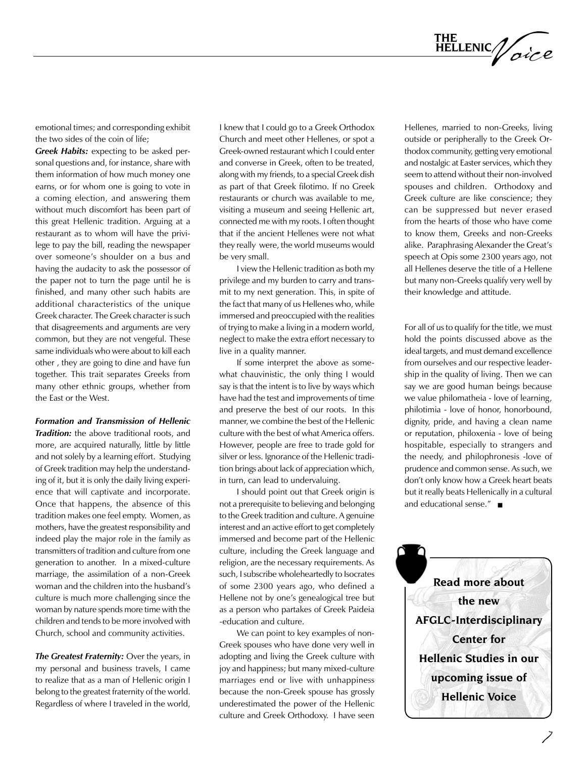

emotional times; and corresponding exhibit the two sides of the coin of life;

*Greek Habits:* expecting to be asked personal questions and, for instance, share with them information of how much money one earns, or for whom one is going to vote in a coming election, and answering them without much discomfort has been part of this great Hellenic tradition. Arguing at a restaurant as to whom will have the privilege to pay the bill, reading the newspaper over someone's shoulder on a bus and having the audacity to ask the possessor of the paper not to turn the page until he is finished, and many other such habits are additional characteristics of the unique Greek character. The Greek character is such that disagreements and arguments are very common, but they are not vengeful. These same individuals who were about to kill each other , they are going to dine and have fun together. This trait separates Greeks from many other ethnic groups, whether from the East or the West.

#### *Formation and Transmission of Hellenic*

*Tradition:* the above traditional roots, and more, are acquired naturally, little by little and not solely by a learning effort. Studying of Greek tradition may help the understanding of it, but it is only the daily living experience that will captivate and incorporate. Once that happens, the absence of this tradition makes one feel empty. Women, as mothers, have the greatest responsibility and indeed play the major role in the family as transmitters of tradition and culture from one generation to another. In a mixed-culture marriage, the assimilation of a non-Greek woman and the children into the husband's culture is much more challenging since the woman by nature spends more time with the children and tends to be more involved with Church, school and community activities.

*The Greatest Fraternity:* Over the years, in my personal and business travels, I came to realize that as a man of Hellenic origin I belong to the greatest fraternity of the world. Regardless of where I traveled in the world, I knew that I could go to a Greek Orthodox Church and meet other Hellenes, or spot a Greek-owned restaurant which I could enter and converse in Greek, often to be treated, along with my friends, to a special Greek dish as part of that Greek filotimo. If no Greek restaurants or church was available to me, visiting a museum and seeing Hellenic art, connected me with my roots. I often thought that if the ancient Hellenes were not what they really were, the world museums would be very small.

 I view the Hellenic tradition as both my privilege and my burden to carry and transmit to my next generation. This, in spite of the fact that many of us Hellenes who, while immersed and preoccupied with the realities of trying to make a living in a modern world, neglect to make the extra effort necessary to live in a quality manner.

 If some interpret the above as somewhat chauvinistic, the only thing I would say is that the intent is to live by ways which have had the test and improvements of time and preserve the best of our roots. In this manner, we combine the best of the Hellenic culture with the best of what America offers. However, people are free to trade gold for silver or less. Ignorance of the Hellenic tradition brings about lack of appreciation which, in turn, can lead to undervaluing.

 I should point out that Greek origin is not a prerequisite to believing and belonging to the Greek tradition and culture. A genuine interest and an active effort to get completely immersed and become part of the Hellenic culture, including the Greek language and religion, are the necessary requirements. As such, I subscribe wholeheartedly to Isocrates of some 2300 years ago, who defined a Hellene not by one's genealogical tree but as a person who partakes of Greek Paideia -education and culture.

 We can point to key examples of non-Greek spouses who have done very well in adopting and living the Greek culture with joy and happiness; but many mixed-culture marriages end or live with unhappiness because the non-Greek spouse has grossly underestimated the power of the Hellenic culture and Greek Orthodoxy. I have seen

Hellenes, married to non-Greeks, living outside or peripherally to the Greek Orthodox community, getting very emotional and nostalgic at Easter services, which they seem to attend without their non-involved spouses and children. Orthodoxy and Greek culture are like conscience; they can be suppressed but never erased from the hearts of those who have come to know them, Greeks and non-Greeks alike. Paraphrasing Alexander the Great's speech at Opis some 2300 years ago, not all Hellenes deserve the title of a Hellene but many non-Greeks qualify very well by their knowledge and attitude.

For all of us to qualify for the title, we must hold the points discussed above as the ideal targets, and must demand excellence from ourselves and our respective leadership in the quality of living. Then we can say we are good human beings because we value philomatheia - love of learning, philotimia - love of honor, honorbound, dignity, pride, and having a clean name or reputation, philoxenia - love of being hospitable, especially to strangers and the needy, and philophronesis -love of prudence and common sense. As such, we don't only know how a Greek heart beats but it really beats Hellenically in a cultural and educational sense."  $\blacksquare$